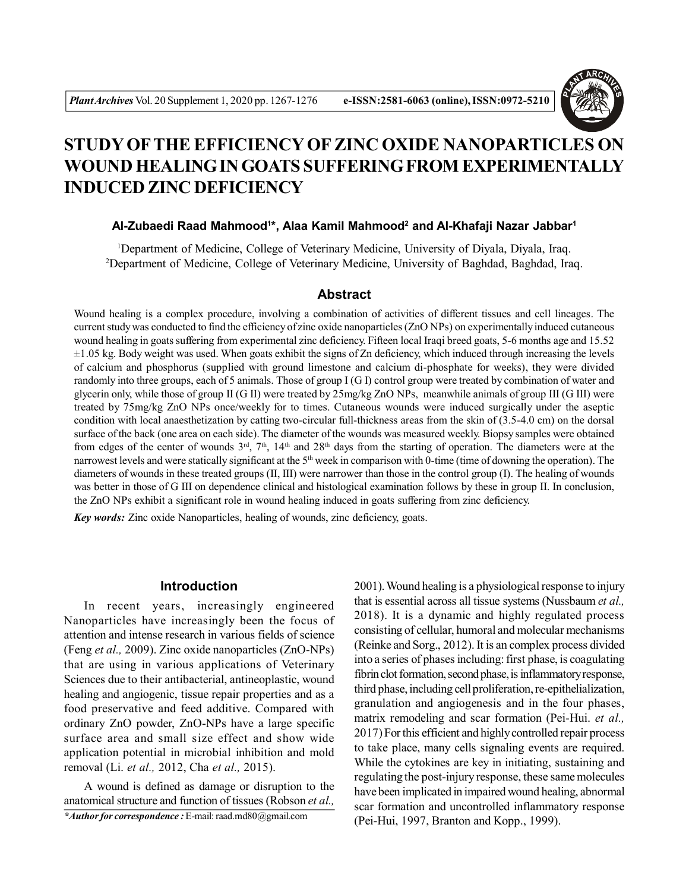

# **STUDY OFTHE EFFICIENCY OF ZINC OXIDE NANOPARTICLES ON WOUND HEALING IN GOATS SUFFERING FROM EXPERIMENTALLY INDUCED ZINC DEFICIENCY**

#### **Al-Zubaedi Raad Mahmood<sup>1</sup> \*, Alaa Kamil Mahmood<sup>2</sup> and Al-Khafaji Nazar Jabbar<sup>1</sup>**

<sup>1</sup>Department of Medicine, College of Veterinary Medicine, University of Diyala, Diyala, Iraq. <sup>2</sup>Department of Medicine, College of Veterinary Medicine, University of Baghdad, Baghdad, Iraq.

#### **Abstract**

Wound healing is a complex procedure, involving a combination of activities of different tissues and cell lineages. The current study was conducted to find the efficiency of zinc oxide nanoparticles (ZnO NPs) on experimentally induced cutaneous wound healing in goats suffering from experimental zinc deficiency. Fifteen local Iraqi breed goats, 5-6 months age and 15.52  $\pm 1.05$  kg. Body weight was used. When goats exhibit the signs of Zn deficiency, which induced through increasing the levels of calcium and phosphorus (supplied with ground limestone and calcium di-phosphate for weeks), they were divided randomly into three groups, each of 5 animals. Those of group I (G I) control group were treated by combination of water and glycerin only, while those of group II (G II) were treated by 25mg/kg ZnO NPs, meanwhile animals of group III (G III) were treated by 75mg/kg ZnO NPs once/weekly for to times. Cutaneous wounds were induced surgically under the aseptic condition with local anaesthetization by catting two-circular full-thickness areas from the skin of (3.5-4.0 cm) on the dorsal surface of the back (one area on each side). The diameter of the wounds was measured weekly. Biopsy samples were obtained from edges of the center of wounds  $3<sup>rd</sup>$ ,  $7<sup>th</sup>$ ,  $14<sup>th</sup>$  and  $28<sup>th</sup>$  days from the starting of operation. The diameters were at the narrowest levels and were statically significant at the 5<sup>th</sup> week in comparison with 0-time (time of downing the operation). The diameters of wounds in these treated groups (II, III) were narrower than those in the control group (I). The healing of wounds was better in those of G III on dependence clinical and histological examination follows by these in group II. In conclusion, the ZnO NPs exhibit a significant role in wound healing induced in goats suffering from zinc deficiency.

*Key words:* Zinc oxide Nanoparticles, healing of wounds, zinc deficiency, goats.

#### **Introduction**

In recent years, increasingly engineered Nanoparticles have increasingly been the focus of attention and intense research in various fields of science (Feng *et al.,* 2009). Zinc oxide nanoparticles (ZnO-NPs) that are using in various applications of Veterinary Sciences due to their antibacterial, antineoplastic, wound healing and angiogenic, tissue repair properties and as a food preservative and feed additive. Compared with ordinary ZnO powder, ZnO-NPs have a large specific surface area and small size effect and show wide application potential in microbial inhibition and mold removal (Li. *et al.,* 2012, Cha *et al.,* 2015).

A wound is defined as damage or disruption to the anatomical structure and function of tissues (Robson *et al., \*Author for correspondence :* E-mail: raad.md80@gmail.com

2001). Wound healing is a physiological response to injury that is essential across all tissue systems (Nussbaum *et al.,* 2018). It is a dynamic and highly regulated process consisting of cellular, humoral and molecular mechanisms (Reinke and Sorg., 2012). It is an complex process divided into a series of phases including: first phase, is coagulating fibrin clot formation, second phase, is inflammatory response, third phase, including cell proliferation, re-epithelialization, granulation and angiogenesis and in the four phases, matrix remodeling and scar formation (Pei-Hui. *et al.,* 2017) For this efficient and highly controlled repair process to take place, many cells signaling events are required. While the cytokines are key in initiating, sustaining and regulating the post-injury response, these same molecules have been implicated in impaired wound healing, abnormal scar formation and uncontrolled inflammatory response (Pei-Hui, 1997, Branton and Kopp., 1999).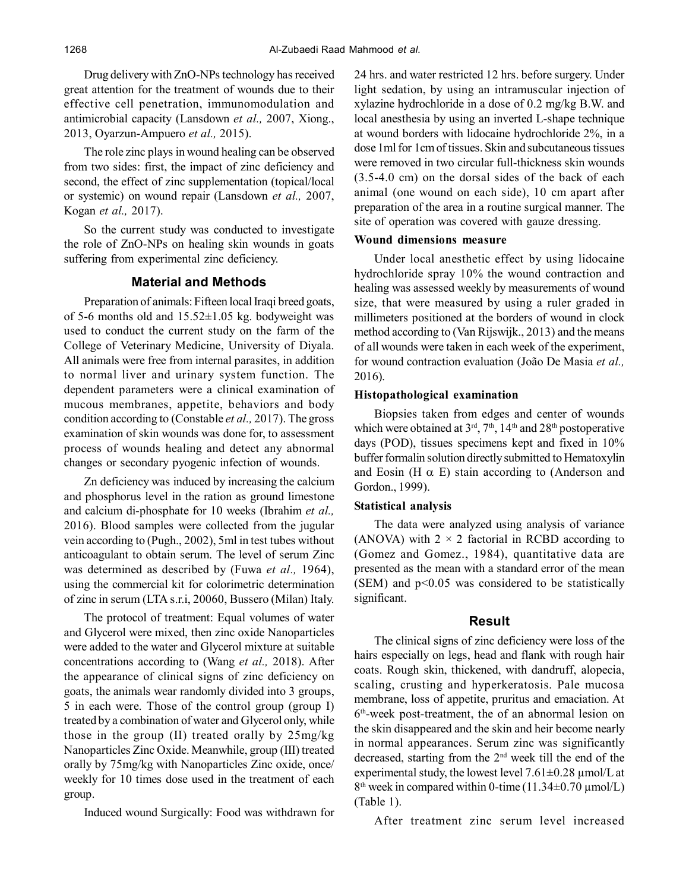Drug delivery with ZnO-NPs technology has received great attention for the treatment of wounds due to their effective cell penetration, immunomodulation and antimicrobial capacity (Lansdown *et al.,* 2007, Xiong., 2013, Oyarzun-Ampuero *et al.,* 2015).

The role zinc plays in wound healing can be observed from two sides: first, the impact of zinc deficiency and second, the effect of zinc supplementation (topical/local or systemic) on wound repair (Lansdown *et al.,* 2007, Kogan *et al.,* 2017).

So the current study was conducted to investigate the role of ZnO-NPs on healing skin wounds in goats suffering from experimental zinc deficiency.

# **Material and Methods**

Preparation of animals: Fifteen local Iraqi breed goats, of 5-6 months old and  $15.52 \pm 1.05$  kg. bodyweight was used to conduct the current study on the farm of the College of Veterinary Medicine, University of Diyala. All animals were free from internal parasites, in addition to normal liver and urinary system function. The dependent parameters were a clinical examination of mucous membranes, appetite, behaviors and body condition according to (Constable *et al.,* 2017). The gross examination of skin wounds was done for, to assessment process of wounds healing and detect any abnormal changes or secondary pyogenic infection of wounds.

Zn deficiency was induced by increasing the calcium and phosphorus level in the ration as ground limestone and calcium di-phosphate for 10 weeks (Ibrahim *et al.,* 2016). Blood samples were collected from the jugular vein according to (Pugh., 2002), 5ml in test tubes without anticoagulant to obtain serum. The level of serum Zinc was determined as described by (Fuwa *et al.,* 1964), using the commercial kit for colorimetric determination of zinc in serum (LTA s.r.i, 20060, Bussero (Milan) Italy.

The protocol of treatment: Equal volumes of water and Glycerol were mixed, then zinc oxide Nanoparticles were added to the water and Glycerol mixture at suitable concentrations according to (Wang *et al.,* 2018). After the appearance of clinical signs of zinc deficiency on goats, the animals wear randomly divided into 3 groups, 5 in each were. Those of the control group (group I) treated by a combination of water and Glycerol only, while those in the group (II) treated orally by 25mg/kg Nanoparticles Zinc Oxide. Meanwhile, group (III) treated orally by 75mg/kg with Nanoparticles Zinc oxide, once/ weekly for 10 times dose used in the treatment of each group.

Induced wound Surgically: Food was withdrawn for

24 hrs. and water restricted 12 hrs. before surgery. Under light sedation, by using an intramuscular injection of xylazine hydrochloride in a dose of 0.2 mg/kg B.W. and local anesthesia by using an inverted L-shape technique at wound borders with lidocaine hydrochloride 2%, in a dose 1ml for 1cm of tissues. Skin and subcutaneous tissues were removed in two circular full-thickness skin wounds (3.5-4.0 cm) on the dorsal sides of the back of each animal (one wound on each side), 10 cm apart after preparation of the area in a routine surgical manner. The site of operation was covered with gauze dressing.

#### **Wound dimensions measure**

Under local anesthetic effect by using lidocaine hydrochloride spray 10% the wound contraction and healing was assessed weekly by measurements of wound size, that were measured by using a ruler graded in millimeters positioned at the borders of wound in clock method according to (Van Rijswijk., 2013) and the means of all wounds were taken in each week of the experiment, for wound contraction evaluation (João De Masia *et al.,* 2016).

## **Histopathological examination**

Biopsies taken from edges and center of wounds which were obtained at  $3<sup>rd</sup>$ ,  $7<sup>th</sup>$ ,  $14<sup>th</sup>$  and  $28<sup>th</sup>$  postoperative days (POD), tissues specimens kept and fixed in 10% buffer formalin solution directly submitted to Hematoxylin and Eosin (H  $\alpha$  E) stain according to (Anderson and Gordon., 1999).

## **Statistical analysis**

The data were analyzed using analysis of variance (ANOVA) with  $2 \times 2$  factorial in RCBD according to (Gomez and Gomez., 1984), quantitative data are presented as the mean with a standard error of the mean (SEM) and  $p<0.05$  was considered to be statistically significant.

## **Result**

The clinical signs of zinc deficiency were loss of the hairs especially on legs, head and flank with rough hair coats. Rough skin, thickened, with dandruff, alopecia, scaling, crusting and hyperkeratosis. Pale mucosa membrane, loss of appetite, pruritus and emaciation. At 6 th-week post-treatment, the of an abnormal lesion on the skin disappeared and the skin and heir become nearly in normal appearances. Serum zinc was significantly decreased, starting from the 2nd week till the end of the experimental study, the lowest level  $7.61\pm0.28$  µmol/L at  $8<sup>th</sup>$  week in compared within 0-time (11.34 $\pm$ 0.70  $\mu$ mol/L) (Table 1).

After treatment zinc serum level increased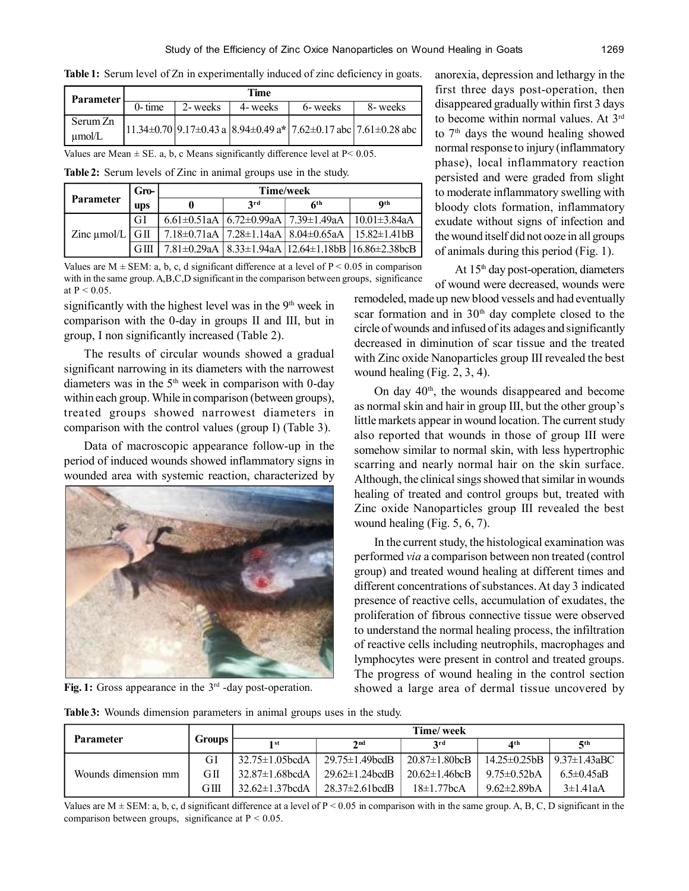**Table 1:** Serum level of Zn in experimentally induced of zinc deficiency in goats.

| <b>Parameter</b>   | Time       |         |          |          |                                                                                             |  |  |
|--------------------|------------|---------|----------|----------|---------------------------------------------------------------------------------------------|--|--|
|                    | $0$ - time | 2-weeks | 4- weeks | 6- weeks | 8-weeks                                                                                     |  |  |
| Serum Zn<br>umol/L |            |         |          |          | $11.34\pm0.70$ 9.17 $\pm$ 0.43 a 8.94 $\pm$ 0.49 a* 7.62 $\pm$ 0.17 abc 7.61 $\pm$ 0.28 abc |  |  |

Values are Mean  $\pm$  SE. a, b, c Means significantly difference level at P< 0.05.

**Table 2:** Serum levels of Zinc in animal groups use in the study.

|                      | $Gro-$ | <b>Time/week</b> |            |                 |                                                                                            |  |
|----------------------|--------|------------------|------------|-----------------|--------------------------------------------------------------------------------------------|--|
| <b>Parameter</b>     | ups    |                  | <b>3rd</b> | 6 <sup>th</sup> | <b>Qth</b>                                                                                 |  |
| Zinc $\mu$ mol/L GII | GI     |                  |            |                 | $6.61\pm0.51$ aA $\left  6.72\pm0.99$ aA $\right  7.39\pm1.49$ aA $\left  10.01\pm3.84$ aA |  |
|                      |        |                  |            |                 | 7.18±0.71aA   7.28±1.14aA   8.04±0.65aA   15.82±1.41bB                                     |  |
|                      |        |                  |            |                 | GIII   7.81±0.29aA   8.33±1.94aA   12.64±1.18bB   16.86±2.38bcB                            |  |

Values are  $M \pm SEM$ : a, b, c, d significant difference at a level of  $P \le 0.05$  in comparison with in the same group. A,B,C,D significant in the comparison between groups, significance at  $P < 0.05$ .

significantly with the highest level was in the  $9<sup>th</sup>$  week in comparison with the 0-day in groups II and III, but in group, I non significantly increased (Table 2).

The results of circular wounds showed a gradual significant narrowing in its diameters with the narrowest diameters was in the  $5<sup>th</sup>$  week in comparison with 0-day within each group. While in comparison (between groups), treated groups showed narrowest diameters in comparison with the control values (group I) (Table 3).

Data of macroscopic appearance follow-up in the period of induced wounds showed inflammatory signs in wounded area with systemic reaction, characterized by



Fig. 1: Gross appearance in the 3<sup>rd</sup> -day post-operation.

anorexia, depression and lethargy in the first three days post-operation, then disappeared gradually within first 3 days to become within normal values. At 3<sup>rd</sup> to  $7<sup>th</sup>$  days the wound healing showed normal response to injury (inflammatory phase), local inflammatory reaction persisted and were graded from slight to moderate inflammatory swelling with bloody clots formation, inflammatory exudate without signs of infection and the wound itself did not ooze in all groups of animals during this period (Fig. 1).

At  $15<sup>th</sup>$  day post-operation, diameters of wound were decreased, wounds were

remodeled, made up new blood vessels and had eventually scar formation and in 30<sup>th</sup> day complete closed to the circle of wounds and infused of its adages and significantly decreased in diminution of scar tissue and the treated with Zinc oxide Nanoparticles group III revealed the best wound healing (Fig. 2, 3, 4).

On day  $40<sup>th</sup>$ , the wounds disappeared and become as normal skin and hair in group III, but the other group's little markets appear in wound location. The current study also reported that wounds in those of group III were somehow similar to normal skin, with less hypertrophic scarring and nearly normal hair on the skin surface. Although, the clinical sings showed that similar in wounds healing of treated and control groups but, treated with Zinc oxide Nanoparticles group III revealed the best wound healing (Fig. 5, 6, 7).

In the current study, the histological examination was performed *via* a comparison between non treated (control group) and treated wound healing at different times and different concentrations of substances. At day 3 indicated presence of reactive cells, accumulation of exudates, the proliferation of fibrous connective tissue were observed to understand the normal healing process, the infiltration of reactive cells including neutrophils, macrophages and lymphocytes were present in control and treated groups. The progress of wound healing in the control section showed a large area of dermal tissue uncovered by

**Table 3:** Wounds dimension parameters in animal groups uses in the study.

|                     | <b>Groups</b> | Time/week                    |                       |                                  |                                          |                          |
|---------------------|---------------|------------------------------|-----------------------|----------------------------------|------------------------------------------|--------------------------|
| <b>Parameter</b>    |               | 1st                          | 2 <sub>nd</sub>       | <b>3rd</b>                       | $\mathbf{A}^{\text{th}}$                 | $\mathbf{\mathsf{K}}$ th |
| Wounds dimension mm | GI            | $32.75 \pm 1.05 \text{hcdA}$ | $29.75 \pm 1.49$ bcdB | $20.87 \pm 1.80$ <sub>bc</sub> B | $14.25 \pm 0.25$ bB   9.37 $\pm$ 1.43aBC |                          |
|                     | GП            | $132.87\pm1.68$ bcdA         | $29.62 \pm 1.24$ bcdB | $20.62 \pm 1.46$ bcB             | 9.75 $\pm$ 0.52bA                        | $6.5 \pm 0.45$ aB        |
|                     | GШ            | $32.62 \pm 1.37$ bcdA        | $28.37 \pm 2.61$ bcdB | $18\pm1.77$ bc A                 | $9.62 \pm 2.89$ bA                       | $3\pm1.41aA$             |

Values are  $M \pm SEM$ : a, b, c, d significant difference at a level of  $P < 0.05$  in comparison with in the same group. A, B, C, D significant in the comparison between groups, significance at  $P < 0.05$ .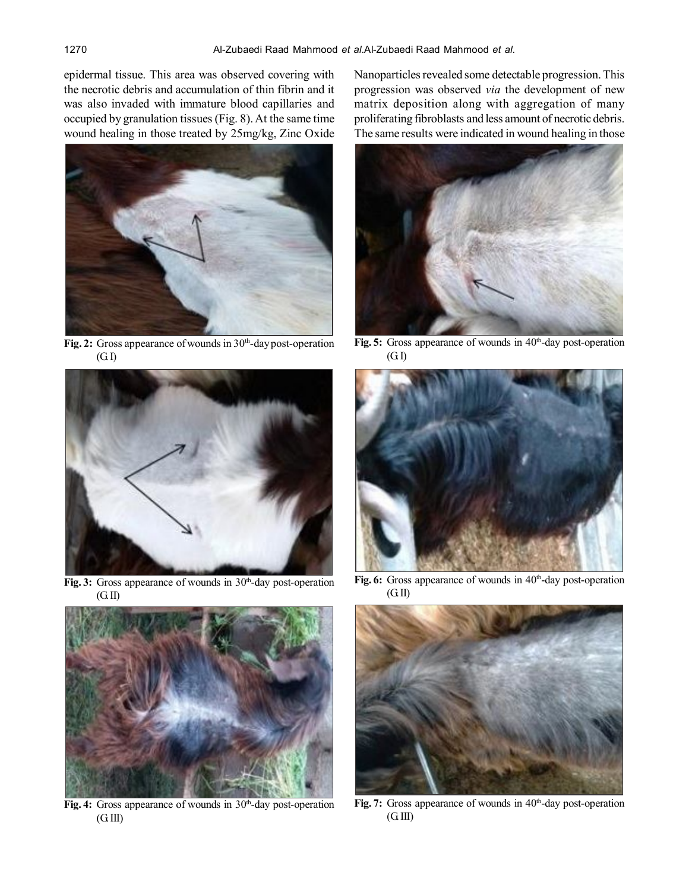epidermal tissue. This area was observed covering with the necrotic debris and accumulation of thin fibrin and it was also invaded with immature blood capillaries and occupied by granulation tissues (Fig. 8). At the same time wound healing in those treated by 25mg/kg, Zinc Oxide



Fig. 2: Gross appearance of wounds in 30<sup>th</sup>-day post-operation  $(GI)$ 



Fig. 3: Gross appearance of wounds in 30<sup>th</sup>-day post-operation  $(G<sub>II</sub>)$ 



Fig. 4: Gross appearance of wounds in 30<sup>th</sup>-day post-operation  $(G<sub>III</sub>)$ 

Nanoparticles revealed some detectable progression. This progression was observed *via* the development of new matrix deposition along with aggregation of many proliferating fibroblasts and less amount of necrotic debris. The same results were indicated in wound healing in those



Fig. 5: Gross appearance of wounds in 40<sup>th</sup>-day post-operation  $(GI)$ 



Fig. 6: Gross appearance of wounds in 40<sup>th</sup>-day post-operation  $(G<sub>II</sub>)$ 



Fig. 7: Gross appearance of wounds in 40<sup>th</sup>-day post-operation  $(G<sub>III</sub>)$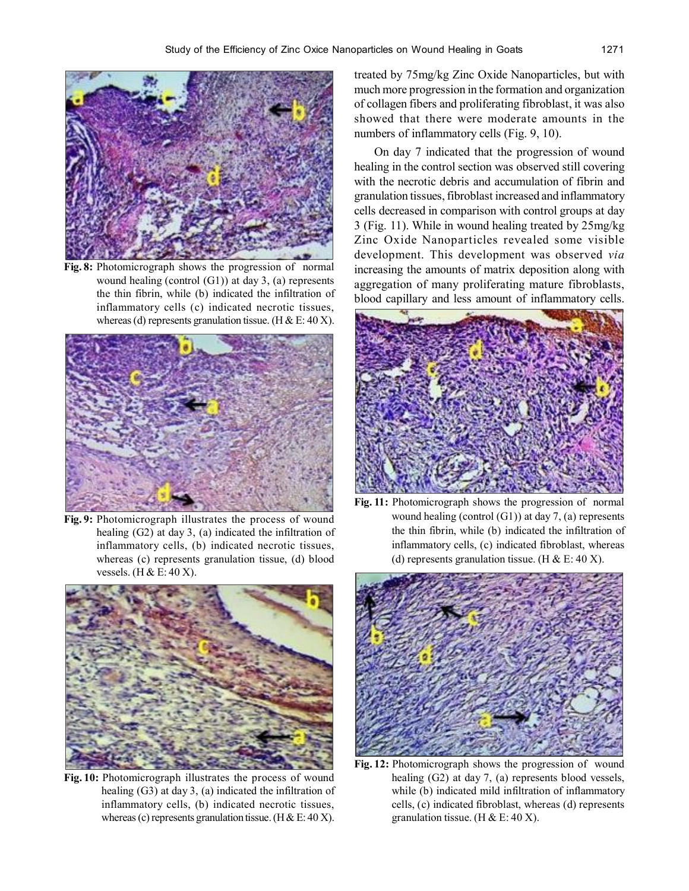

**Fig. 8:** Photomicrograph shows the progression of normal wound healing (control (G1)) at day 3, (a) represents the thin fibrin, while (b) indicated the infiltration of inflammatory cells (c) indicated necrotic tissues, whereas (d) represents granulation tissue. (H  $\&$  E: 40 X).



**Fig. 9:** Photomicrograph illustrates the process of wound healing (G2) at day 3, (a) indicated the infiltration of inflammatory cells, (b) indicated necrotic tissues, whereas (c) represents granulation tissue, (d) blood vessels. (H  $\&$  E: 40 X).



**Fig. 10:** Photomicrograph illustrates the process of wound healing (G3) at day 3, (a) indicated the infiltration of inflammatory cells, (b) indicated necrotic tissues, whereas (c) represents granulation tissue. (H  $\&$  E: 40 X).

treated by 75mg/kg Zinc Oxide Nanoparticles, but with much more progression in the formation and organization of collagen fibers and proliferating fibroblast, it was also showed that there were moderate amounts in the numbers of inflammatory cells (Fig. 9, 10).

On day 7 indicated that the progression of wound healing in the control section was observed still covering with the necrotic debris and accumulation of fibrin and granulation tissues, fibroblast increased and inflammatory cells decreased in comparison with control groups at day 3 (Fig. 11). While in wound healing treated by 25mg/kg Zinc Oxide Nanoparticles revealed some visible development. This development was observed *via* increasing the amounts of matrix deposition along with aggregation of many proliferating mature fibroblasts, blood capillary and less amount of inflammatory cells.



**Fig. 11:** Photomicrograph shows the progression of normal wound healing (control  $(G1)$ ) at day 7, (a) represents the thin fibrin, while (b) indicated the infiltration of inflammatory cells, (c) indicated fibroblast, whereas (d) represents granulation tissue. (H  $& E: 40 X$ ).



**Fig. 12:** Photomicrograph shows the progression of wound healing (G2) at day 7, (a) represents blood vessels, while (b) indicated mild infiltration of inflammatory cells, (c) indicated fibroblast, whereas (d) represents granulation tissue. (H  $& E: 40 X$ ).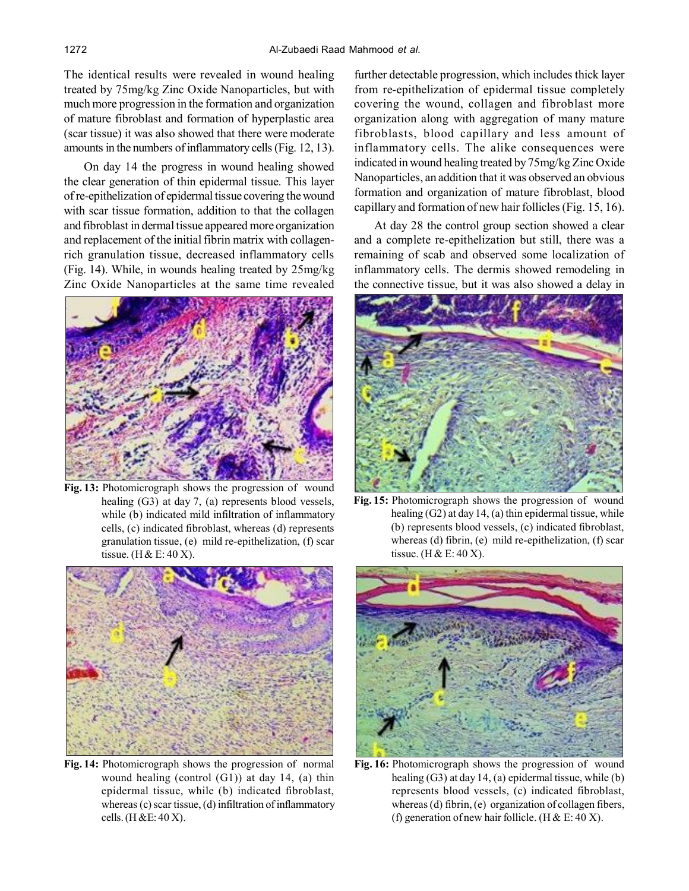The identical results were revealed in wound healing treated by 75mg/kg Zinc Oxide Nanoparticles, but with much more progression in the formation and organization of mature fibroblast and formation of hyperplastic area (scar tissue) it was also showed that there were moderate amounts in the numbers of inflammatory cells (Fig. 12, 13).

On day 14 the progress in wound healing showed the clear generation of thin epidermal tissue. This layer of re-epithelization of epidermal tissue covering the wound with scar tissue formation, addition to that the collagen and fibroblast in dermal tissue appeared more organization and replacement of the initial fibrin matrix with collagenrich granulation tissue, decreased inflammatory cells (Fig. 14). While, in wounds healing treated by 25mg/kg Zinc Oxide Nanoparticles at the same time revealed



**Fig. 13:** Photomicrograph shows the progression of wound healing (G3) at day 7, (a) represents blood vessels, while (b) indicated mild infiltration of inflammatory cells, (c) indicated fibroblast, whereas (d) represents granulation tissue, (e) mild re-epithelization, (f) scar tissue.  $(H & E: 40 X)$ .



**Fig. 14:** Photomicrograph shows the progression of normal wound healing (control (G1)) at day 14, (a) thin epidermal tissue, while (b) indicated fibroblast, whereas (c) scar tissue, (d) infiltration of inflammatory cells. (H &E: 40 X).

further detectable progression, which includes thick layer from re-epithelization of epidermal tissue completely covering the wound, collagen and fibroblast more organization along with aggregation of many mature fibroblasts, blood capillary and less amount of inflammatory cells. The alike consequences were indicated in wound healing treated by 75mg/kg Zinc Oxide Nanoparticles, an addition that it was observed an obvious formation and organization of mature fibroblast, blood capillary and formation of new hair follicles (Fig. 15, 16).

At day 28 the control group section showed a clear and a complete re-epithelization but still, there was a remaining of scab and observed some localization of inflammatory cells. The dermis showed remodeling in the connective tissue, but it was also showed a delay in



**Fig. 15:** Photomicrograph shows the progression of wound healing  $(G2)$  at day 14,  $(a)$  thin epidermal tissue, while (b) represents blood vessels, (c) indicated fibroblast, whereas (d) fibrin, (e) mild re-epithelization, (f) scar tissue. (H & E:  $40$  X).



**Fig. 16:** Photomicrograph shows the progression of wound healing  $(G3)$  at day 14, (a) epidermal tissue, while (b) represents blood vessels, (c) indicated fibroblast, whereas (d) fibrin, (e) organization of collagen fibers, (f) generation of new hair follicle. (H & E: 40 X).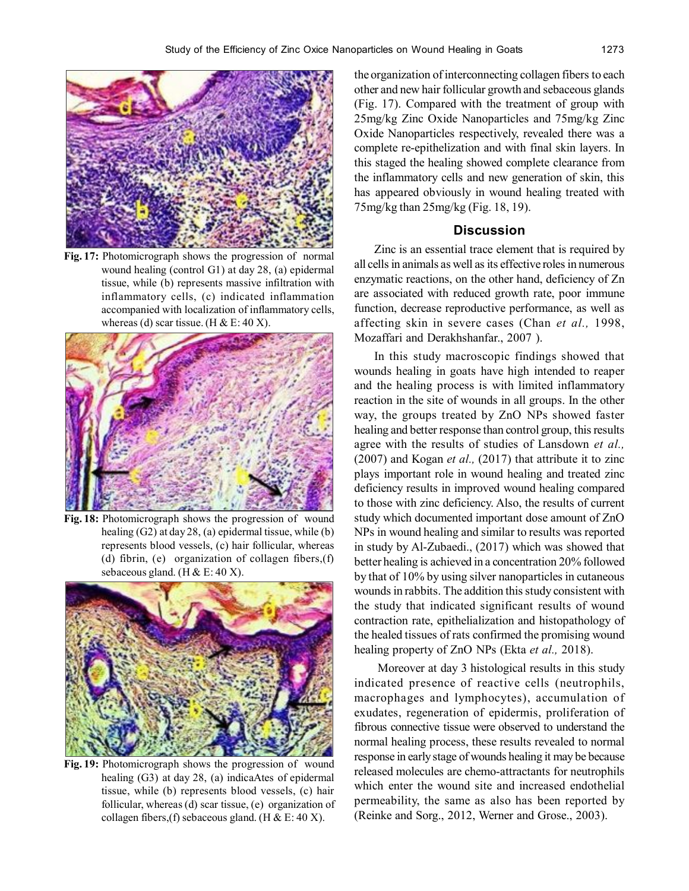

**Fig. 17:** Photomicrograph shows the progression of normal wound healing (control G1) at day 28, (a) epidermal tissue, while (b) represents massive infiltration with inflammatory cells, (c) indicated inflammation accompanied with localization of inflammatory cells, whereas (d) scar tissue. (H & E:  $40 X$ ).



**Fig. 18:** Photomicrograph shows the progression of wound healing (G2) at day 28, (a) epidermal tissue, while (b) represents blood vessels, (c) hair follicular, whereas (d) fibrin, (e) organization of collagen fibers,(f) sebaceous gland. (H  $& E: 40 X$ ).



**Fig. 19:** Photomicrograph shows the progression of wound healing (G3) at day 28, (a) indicaAtes of epidermal tissue, while (b) represents blood vessels, (c) hair follicular, whereas (d) scar tissue, (e) organization of collagen fibers, (f) sebaceous gland. (H & E: 40 X).

the organization of interconnecting collagen fibers to each other and new hair follicular growth and sebaceous glands (Fig. 17). Compared with the treatment of group with 25mg/kg Zinc Oxide Nanoparticles and 75mg/kg Zinc Oxide Nanoparticles respectively, revealed there was a complete re-epithelization and with final skin layers. In this staged the healing showed complete clearance from the inflammatory cells and new generation of skin, this has appeared obviously in wound healing treated with 75mg/kg than 25mg/kg (Fig. 18, 19).

# **Discussion**

Zinc is an essential trace element that is required by all cells in animals as well as its effective roles in numerous enzymatic reactions, on the other hand, deficiency of Zn are associated with reduced growth rate, poor immune function, decrease reproductive performance, as well as affecting skin in severe cases (Chan *et al.,* 1998, Mozaffari and Derakhshanfar., 2007 ).

In this study macroscopic findings showed that wounds healing in goats have high intended to reaper and the healing process is with limited inflammatory reaction in the site of wounds in all groups. In the other way, the groups treated by ZnO NPs showed faster healing and better response than control group, this results agree with the results of studies of Lansdown *et al.,* (2007) and Kogan *et al.,* (2017) that attribute it to zinc plays important role in wound healing and treated zinc deficiency results in improved wound healing compared to those with zinc deficiency. Also, the results of current study which documented important dose amount of ZnO NPs in wound healing and similar to results was reported in study by Al-Zubaedi., (2017) which was showed that better healing is achieved in a concentration 20% followed by that of 10% by using silver nanoparticles in cutaneous wounds in rabbits. The addition this study consistent with the study that indicated significant results of wound contraction rate, epithelialization and histopathology of the healed tissues of rats confirmed the promising wound healing property of ZnO NPs (Ekta *et al.,* 2018).

 Moreover at day 3 histological results in this study indicated presence of reactive cells (neutrophils, macrophages and lymphocytes), accumulation of exudates, regeneration of epidermis, proliferation of fibrous connective tissue were observed to understand the normal healing process, these results revealed to normal response in early stage of wounds healing it may be because released molecules are chemo-attractants for neutrophils which enter the wound site and increased endothelial permeability, the same as also has been reported by (Reinke and Sorg., 2012, Werner and Grose., 2003).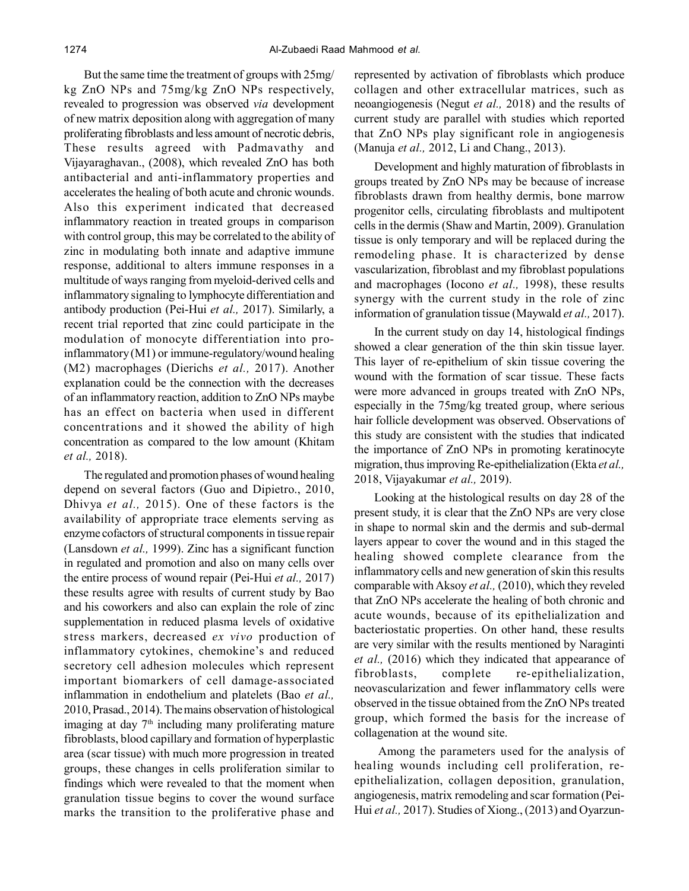But the same time the treatment of groups with 25mg/ kg ZnO NPs and 75mg/kg ZnO NPs respectively, revealed to progression was observed *via* development of new matrix deposition along with aggregation of many proliferating fibroblasts and less amount of necrotic debris, These results agreed with Padmavathy and Vijayaraghavan., (2008), which revealed ZnO has both antibacterial and anti-inflammatory properties and accelerates the healing of both acute and chronic wounds. Also this experiment indicated that decreased inflammatory reaction in treated groups in comparison with control group, this may be correlated to the ability of zinc in modulating both innate and adaptive immune response, additional to alters immune responses in a multitude of ways ranging from myeloid-derived cells and inflammatory signaling to lymphocyte differentiation and antibody production (Pei-Hui *et al.,* 2017). Similarly, a recent trial reported that zinc could participate in the modulation of monocyte differentiation into proinflammatory (M1) or immune-regulatory/wound healing (M2) macrophages (Dierichs *et al.,* 2017). Another explanation could be the connection with the decreases of an inflammatory reaction, addition to ZnO NPs maybe has an effect on bacteria when used in different concentrations and it showed the ability of high concentration as compared to the low amount (Khitam *et al.,* 2018).

The regulated and promotion phases of wound healing depend on several factors (Guo and Dipietro., 2010, Dhivya *et al.,* 2015). One of these factors is the availability of appropriate trace elements serving as enzyme cofactors of structural components in tissue repair (Lansdown *et al.,* 1999). Zinc has a significant function in regulated and promotion and also on many cells over the entire process of wound repair (Pei-Hui *et al.,* 2017) these results agree with results of current study by Bao and his coworkers and also can explain the role of zinc supplementation in reduced plasma levels of oxidative stress markers, decreased *ex vivo* production of inflammatory cytokines, chemokine's and reduced secretory cell adhesion molecules which represent important biomarkers of cell damage-associated inflammation in endothelium and platelets (Bao *et al.,* 2010, Prasad., 2014). The mains observation of histological imaging at day  $7<sup>th</sup>$  including many proliferating mature fibroblasts, blood capillary and formation of hyperplastic area (scar tissue) with much more progression in treated groups, these changes in cells proliferation similar to findings which were revealed to that the moment when granulation tissue begins to cover the wound surface marks the transition to the proliferative phase and

represented by activation of fibroblasts which produce collagen and other extracellular matrices, such as neoangiogenesis (Negut *et al.,* 2018) and the results of current study are parallel with studies which reported that ZnO NPs play significant role in angiogenesis (Manuja *et al.,* 2012, Li and Chang., 2013).

Development and highly maturation of fibroblasts in groups treated by ZnO NPs may be because of increase fibroblasts drawn from healthy dermis, bone marrow progenitor cells, circulating fibroblasts and multipotent cells in the dermis (Shaw and Martin, 2009). Granulation tissue is only temporary and will be replaced during the remodeling phase. It is characterized by dense vascularization, fibroblast and my fibroblast populations and macrophages (Iocono *et al.,* 1998), these results synergy with the current study in the role of zinc information of granulation tissue (Maywald *et al.,* 2017).

In the current study on day 14, histological findings showed a clear generation of the thin skin tissue layer. This layer of re-epithelium of skin tissue covering the wound with the formation of scar tissue. These facts were more advanced in groups treated with ZnO NPs, especially in the 75mg/kg treated group, where serious hair follicle development was observed. Observations of this study are consistent with the studies that indicated the importance of ZnO NPs in promoting keratinocyte migration, thus improving Re-epithelialization (Ekta *et al.,* 2018, Vijayakumar *et al.,* 2019).

Looking at the histological results on day 28 of the present study, it is clear that the ZnO NPs are very close in shape to normal skin and the dermis and sub-dermal layers appear to cover the wound and in this staged the healing showed complete clearance from the inflammatory cells and new generation of skin this results comparable with Aksoy *et al.,* (2010), which they reveled that ZnO NPs accelerate the healing of both chronic and acute wounds, because of its epithelialization and bacteriostatic properties. On other hand, these results are very similar with the results mentioned by Naraginti *et al.,* (2016) which they indicated that appearance of fibroblasts, complete re-epithelialization, neovascularization and fewer inflammatory cells were observed in the tissue obtained from the ZnO NPs treated group, which formed the basis for the increase of collagenation at the wound site.

 Among the parameters used for the analysis of healing wounds including cell proliferation, reepithelialization, collagen deposition, granulation, angiogenesis, matrix remodeling and scar formation (Pei-Hui *et al.,* 2017). Studies of Xiong., (2013) and Oyarzun-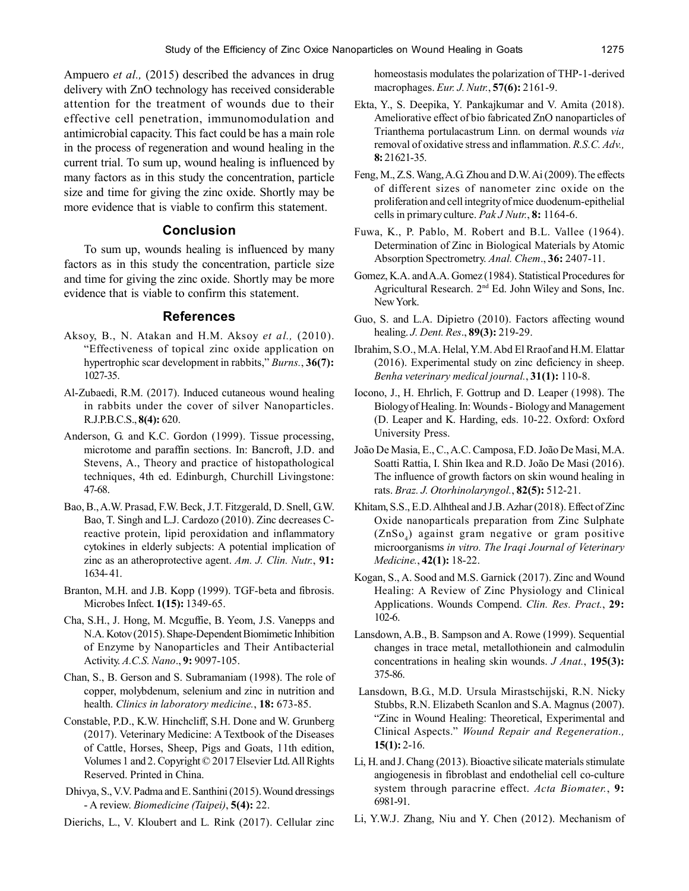Ampuero *et al.,* (2015) described the advances in drug delivery with ZnO technology has received considerable attention for the treatment of wounds due to their effective cell penetration, immunomodulation and antimicrobial capacity. This fact could be has a main role in the process of regeneration and wound healing in the current trial. To sum up, wound healing is influenced by many factors as in this study the concentration, particle size and time for giving the zinc oxide. Shortly may be more evidence that is viable to confirm this statement.

# **Conclusion**

To sum up, wounds healing is influenced by many factors as in this study the concentration, particle size and time for giving the zinc oxide. Shortly may be more evidence that is viable to confirm this statement.

## **References**

- Aksoy, B., N. Atakan and H.M. Aksoy *et al.,* (2010). "Effectiveness of topical zinc oxide application on hypertrophic scar development in rabbits," *Burns.*, **36(7):** 1027-35.
- Al-Zubaedi, R.M. (2017). Induced cutaneous wound healing in rabbits under the cover of silver Nanoparticles. R.J.P.B.C.S., **8(4):** 620.
- Anderson, G. and K.C. Gordon (1999). Tissue processing, microtome and paraffin sections. In: Bancroft, J.D. and Stevens, A., Theory and practice of histopathological techniques, 4th ed. Edinburgh, Churchill Livingstone: 47-68.
- Bao, B., A.W. Prasad, F.W. Beck, J.T. Fitzgerald, D. Snell, G.W. Bao, T. Singh and L.J. Cardozo (2010). Zinc decreases Creactive protein, lipid peroxidation and inflammatory cytokines in elderly subjects: A potential implication of zinc as an atheroprotective agent. *Am. J. Clin. Nutr.*, **91:** 1634- 41.
- Branton, M.H. and J.B. Kopp (1999). TGF-beta and fibrosis. Microbes Infect. **1(15):** 1349-65.
- Cha, S.H., J. Hong, M. Mcguffie, B. Yeom, J.S. Vanepps and N.A. Kotov (2015). Shape-Dependent Biomimetic Inhibition of Enzyme by Nanoparticles and Their Antibacterial Activity. *A.C.S. Nano*., **9:** 9097-105.
- Chan, S., B. Gerson and S. Subramaniam (1998). The role of copper, molybdenum, selenium and zinc in nutrition and health. *Clinics in laboratory medicine.*, **18:** 673-85.
- Constable, P.D., K.W. Hinchcliff, S.H. Done and W. Grunberg (2017). Veterinary Medicine: A Textbook of the Diseases of Cattle, Horses, Sheep, Pigs and Goats, 11th edition, Volumes 1 and 2. Copyright © 2017 Elsevier Ltd. All Rights Reserved. Printed in China.
- Dhivya, S., V.V. Padma and E. Santhini (2015). Wound dressings - A review. *Biomedicine (Taipei)*, **5(4):** 22.

Dierichs, L., V. Kloubert and L. Rink (2017). Cellular zinc

homeostasis modulates the polarization of THP-1-derived macrophages. *Eur. J. Nutr.*, **57(6):** 2161-9.

- Ekta, Y., S. Deepika, Y. Pankajkumar and V. Amita (2018). Ameliorative effect of bio fabricated ZnO nanoparticles of Trianthema portulacastrum Linn. on dermal wounds *via* removal of oxidative stress and inflammation. *R.S.C. Adv.,* **8:** 21621-35.
- Feng, M., Z.S. Wang, A.G. Zhou and D.W. Ai (2009). The effects of different sizes of nanometer zinc oxide on the proliferation and cell integrity of mice duodenum-epithelial cells in primary culture. *Pak J Nutr.*, **8:** 1164-6.
- Fuwa, K., P. Pablo, M. Robert and B.L. Vallee (1964). Determination of Zinc in Biological Materials by Atomic Absorption Spectrometry. *Anal. Chem*., **36:** 2407-11.
- Gomez, K.A. and A.A. Gomez (1984). Statistical Procedures for Agricultural Research. 2nd Ed. John Wiley and Sons, Inc. New York.
- Guo, S. and L.A. Dipietro (2010). Factors affecting wound healing. *J. Dent. Res*., **89(3):** 219-29.
- Ibrahim, S.O., M.A. Helal, Y.M. Abd El Rraof and H.M. Elattar (2016). Experimental study on zinc deficiency in sheep. *Benha veterinary medical journal.*, **31(1):** 110-8.
- Iocono, J., H. Ehrlich, F. Gottrup and D. Leaper (1998). The Biology of Healing. In: Wounds - Biology and Management (D. Leaper and K. Harding, eds. 10-22. Oxford: Oxford University Press.
- João De Masia, E., C., A.C. Camposa, F.D. João De Masi, M.A. Soatti Rattia, I. Shin Ikea and R.D. João De Masi (2016). The influence of growth factors on skin wound healing in rats. *Braz. J. Otorhinolaryngol.*, **82(5):** 512-21.
- Khitam, S.S., E.D. Alhtheal and J.B. Azhar (2018). Effect of Zinc Oxide nanoparticals preparation from Zinc Sulphate  $(ZnSo<sub>4</sub>)$  against gram negative or gram positive microorganisms *in vitro. The Iraqi Journal of Veterinary Medicine.*, **42(1):** 18-22.
- Kogan, S., A. Sood and M.S. Garnick (2017). Zinc and Wound Healing: A Review of Zinc Physiology and Clinical Applications. Wounds Compend. *Clin. Res. Pract.*, **29:** 102-6.
- Lansdown, A.B., B. Sampson and A. Rowe (1999). Sequential changes in trace metal, metallothionein and calmodulin concentrations in healing skin wounds. *J Anat.*, **195(3):** 375-86.
- Lansdown, B.G., M.D. Ursula Mirastschijski, R.N. Nicky Stubbs, R.N. Elizabeth Scanlon and S.A. Magnus (2007). "Zinc in Wound Healing: Theoretical, Experimental and Clinical Aspects." *Wound Repair and Regeneration.,* **15(1):** 2-16.
- Li, H. and J. Chang (2013). Bioactive silicate materials stimulate angiogenesis in fibroblast and endothelial cell co-culture system through paracrine effect. *Acta Biomater.*, **9:** 6981-91.
- Li, Y.W.J. Zhang, Niu and Y. Chen (2012). Mechanism of